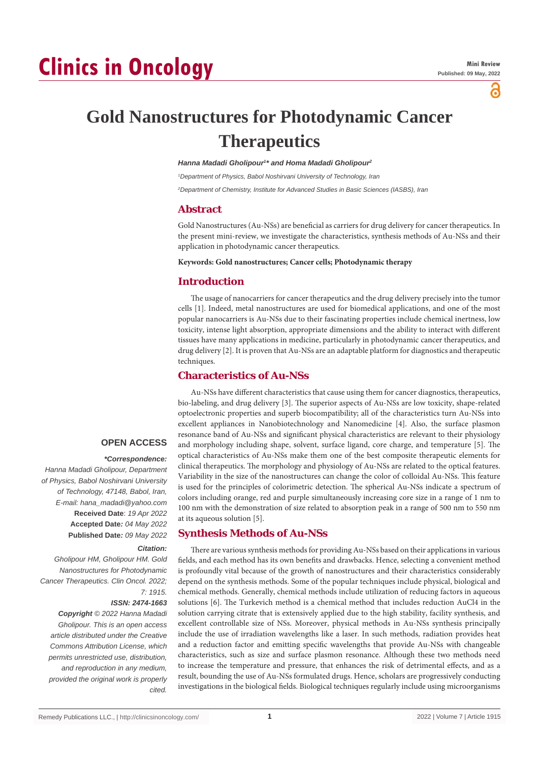# **Clinics in Oncology**

്

**Gold Nanostructures for Photodynamic Cancer Therapeutics**

#### *Hanna Madadi Gholipour1 \* and Homa Madadi Gholipour2*

*1 Department of Physics, Babol Noshirvani University of Technology, Iran*

*2 Department of Chemistry, Institute for Advanced Studies in Basic Sciences (IASBS), Iran*

#### **Abstract**

Gold Nanostructures (Au-NSs) are beneficial as carriers for drug delivery for cancer therapeutics. In the present mini-review, we investigate the characteristics, synthesis methods of Au-NSs and their application in photodynamic cancer therapeutics.

#### **Keywords: Gold nanostructures; Cancer cells; Photodynamic therapy**

### **Introduction**

The usage of nanocarriers for cancer therapeutics and the drug delivery precisely into the tumor cells [1]. Indeed, metal nanostructures are used for biomedical applications, and one of the most popular nanocarriers is Au-NSs due to their fascinating properties include chemical inertness, low toxicity, intense light absorption, appropriate dimensions and the ability to interact with different tissues have many applications in medicine, particularly in photodynamic cancer therapeutics, and drug delivery [2]. It is proven that Au-NSs are an adaptable platform for diagnostics and therapeutic techniques.

# **Characteristics of Au-NSs**

Au-NSs have different characteristics that cause using them for cancer diagnostics, therapeutics, bio-labeling, and drug delivery [3]. The superior aspects of Au-NSs are low toxicity, shape-related optoelectronic properties and superb biocompatibility; all of the characteristics turn Au-NSs into excellent appliances in Nanobiotechnology and Nanomedicine [4]. Also, the surface plasmon resonance band of Au-NSs and significant physical characteristics are relevant to their physiology and morphology including shape, solvent, surface ligand, core charge, and temperature [5]. The optical characteristics of Au-NSs make them one of the best composite therapeutic elements for clinical therapeutics. The morphology and physiology of Au-NSs are related to the optical features. Variability in the size of the nanostructures can change the color of colloidal Au-NSs. This feature is used for the principles of colorimetric detection. The spherical Au-NSs indicate a spectrum of colors including orange, red and purple simultaneously increasing core size in a range of 1 nm to 100 nm with the demonstration of size related to absorption peak in a range of 500 nm to 550 nm at its aqueous solution [5].

# **Synthesis Methods of Au-NSs**

There are various synthesis methods for providing Au-NSs based on their applications in various fields, and each method has its own benefits and drawbacks. Hence, selecting a convenient method is profoundly vital because of the growth of nanostructures and their characteristics considerably depend on the synthesis methods. Some of the popular techniques include physical, biological and chemical methods. Generally, chemical methods include utilization of reducing factors in aqueous solutions [6]. The Turkevich method is a chemical method that includes reduction AuCl4 in the solution carrying citrate that is extensively applied due to the high stability, facility synthesis, and excellent controllable size of NSs. Moreover, physical methods in Au-NSs synthesis principally include the use of irradiation wavelengths like a laser. In such methods, radiation provides heat and a reduction factor and emitting specific wavelengths that provide Au-NSs with changeable characteristics, such as size and surface plasmon resonance. Although these two methods need to increase the temperature and pressure, that enhances the risk of detrimental effects, and as a result, bounding the use of Au-NSs formulated drugs. Hence, scholars are progressively conducting investigations in the biological fields. Biological techniques regularly include using microorganisms

## **OPEN ACCESS**

#### *\*Correspondence:*

*Hanna Madadi Gholipour, Department of Physics, Babol Noshirvani University of Technology, 47148, Babol, Iran, E-mail: hana\_madadi@yahoo.com* **Received Date**: *19 Apr 2022* **Accepted Date***: 04 May 2022* **Published Date***: 09 May 2022*

#### *Citation:*

*Gholipour HM, Gholipour HM. Gold Nanostructures for Photodynamic Cancer Therapeutics. Clin Oncol. 2022; 7: 1915.*

#### *ISSN: 2474-1663*

*Copyright © 2022 Hanna Madadi Gholipour. This is an open access article distributed under the Creative Commons Attribution License, which permits unrestricted use, distribution, and reproduction in any medium, provided the original work is properly cited.*